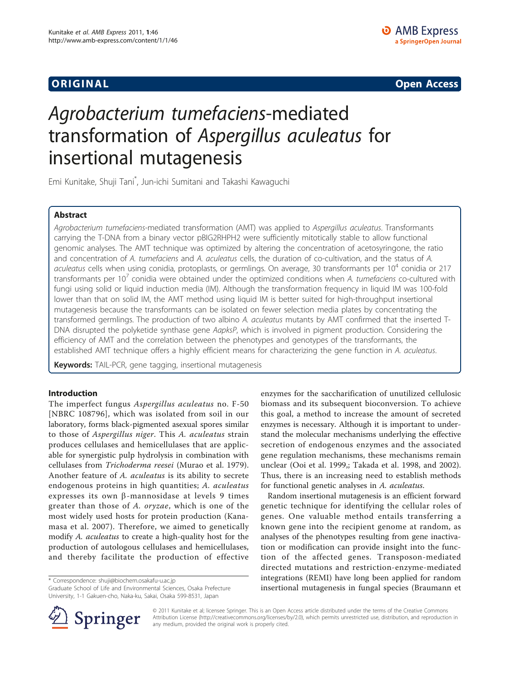**ORIGINAL CONSERVATION** CONSERVATION CONSERVATION CONSERVATION CONSERVATION CONSERVATION CONSERVATION CONSERVATION

# Agrobacterium tumefaciens-mediated transformation of Aspergillus aculeatus for insertional mutagenesis

Emi Kunitake, Shuji Tani\* , Jun-ichi Sumitani and Takashi Kawaguchi

### Abstract

Agrobacterium tumefaciens-mediated transformation (AMT) was applied to Aspergillus aculeatus. Transformants carrying the T-DNA from a binary vector pBIG2RHPH2 were sufficiently mitotically stable to allow functional genomic analyses. The AMT technique was optimized by altering the concentration of acetosyringone, the ratio and concentration of A. tumefaciens and A. aculeatus cells, the duration of co-cultivation, and the status of A. aculeatus cells when using conidia, protoplasts, or germlings. On average, 30 transformants per  $10^4$  conidia or 217 transformants per  $10<sup>7</sup>$  conidia were obtained under the optimized conditions when A. tumefaciens co-cultured with fungi using solid or liquid induction media (IM). Although the transformation frequency in liquid IM was 100-fold lower than that on solid IM, the AMT method using liquid IM is better suited for high-throughput insertional mutagenesis because the transformants can be isolated on fewer selection media plates by concentrating the transformed germlings. The production of two albino A. aculeatus mutants by AMT confirmed that the inserted T-DNA disrupted the polyketide synthase gene AapksP, which is involved in pigment production. Considering the efficiency of AMT and the correlation between the phenotypes and genotypes of the transformants, the established AMT technique offers a highly efficient means for characterizing the gene function in A. aculeatus.

Keywords: TAIL-PCR, gene tagging, insertional mutagenesis

#### Introduction

The imperfect fungus Aspergillus aculeatus no. F-50 [NBRC 108796], which was isolated from soil in our laboratory, forms black-pigmented asexual spores similar to those of Aspergillus niger. This A. aculeatus strain produces cellulases and hemicellulases that are applicable for synergistic pulp hydrolysis in combination with cellulases from Trichoderma reesei ([Murao et al. 1979](#page-9-0)). Another feature of A. aculeatus is its ability to secrete endogenous proteins in high quantities; A. aculeatus expresses its own  $\beta$ -mannosidase at levels 9 times greater than those of A. oryzae, which is one of the most widely used hosts for protein production [\(Kana](#page-9-0)[masa et al. 2007](#page-9-0)). Therefore, we aimed to genetically modify A. aculeatus to create a high-quality host for the production of autologous cellulases and hemicellulases, and thereby facilitate the production of effective

\* Correspondence: [shuji@biochem.osakafu-u.ac.jp](mailto:shuji@biochem.osakafu-u.ac.jp)

Graduate School of Life and Environmental Sciences, Osaka Prefecture University, 1-1 Gakuen-cho, Naka-ku, Sakai, Osaka 599-8531, Japan



Random insertional mutagenesis is an efficient forward genetic technique for identifying the cellular roles of genes. One valuable method entails transferring a known gene into the recipient genome at random, as analyses of the phenotypes resulting from gene inactivation or modification can provide insight into the function of the affected genes. Transposon-mediated directed mutations and restriction-enzyme-mediated integrations (REMI) have long been applied for random insertional mutagenesis in fungal species ([Braumann et](#page-9-0)



© 2011 Kunitake et al; licensee Springer. This is an Open Access article distributed under the terms of the Creative Commons Attribution License [\(http://creativecommons.org/licenses/by/2.0](http://creativecommons.org/licenses/by/2.0)), which permits unrestricted use, distribution, and reproduction in any medium, provided the original work is properly cited.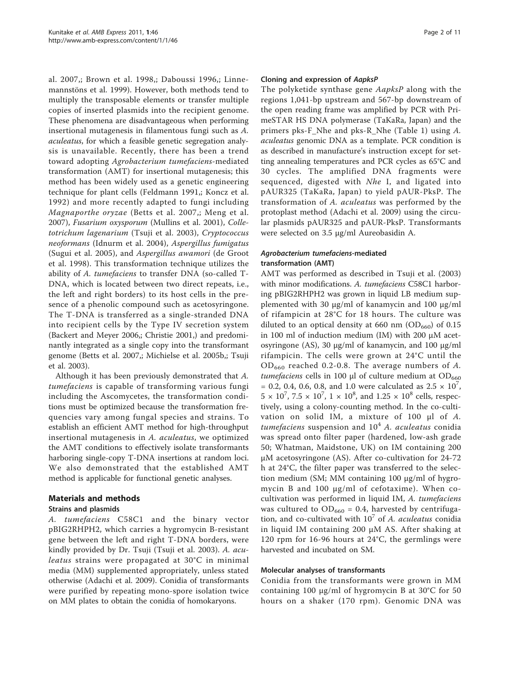[al. 2007,](#page-9-0); [Brown et al. 1998,](#page-9-0); [Daboussi 1996](#page-9-0),; [Linne](#page-9-0)[mannstöns et al. 1999](#page-9-0)). However, both methods tend to multiply the transposable elements or transfer multiple copies of inserted plasmids into the recipient genome. These phenomena are disadvantageous when performing insertional mutagenesis in filamentous fungi such as A. aculeatus, for which a feasible genetic segregation analysis is unavailable. Recently, there has been a trend toward adopting Agrobacterium tumefaciens-mediated transformation (AMT) for insertional mutagenesis; this method has been widely used as a genetic engineering technique for plant cells ([Feldmann 1991](#page-9-0),; [Koncz et al.](#page-9-0) [1992\)](#page-9-0) and more recently adapted to fungi including Magnaporthe oryzae ([Betts et al. 2007](#page-9-0),; [Meng et al.](#page-9-0) [2007](#page-9-0)), Fusarium oxysporum ([Mullins et al. 2001](#page-9-0)), Colletotrichum lagenarium ([Tsuji et al. 2003\)](#page-10-0), Cryptococcus neoformans ([Idnurm et al. 2004](#page-9-0)), Aspergillus fumigatus ([Sugui et al. 2005](#page-9-0)), and Aspergillus awamori [\(de Groot](#page-9-0) [et al. 1998](#page-9-0)). This transformation technique utilizes the ability of A. tumefaciens to transfer DNA (so-called T-DNA, which is located between two direct repeats, i.e., the left and right borders) to its host cells in the presence of a phenolic compound such as acetosyringone. The T-DNA is transferred as a single-stranded DNA into recipient cells by the Type IV secretion system ([Backert and Meyer 2006,](#page-9-0); [Christie 2001](#page-9-0),) and predominantly integrated as a single copy into the transformant genome ([Betts et al. 2007,](#page-9-0); [Michielse et al. 2005b,](#page-9-0); [Tsuji](#page-10-0) [et al. 2003](#page-10-0)).

Although it has been previously demonstrated that A. tumefaciens is capable of transforming various fungi including the Ascomycetes, the transformation conditions must be optimized because the transformation frequencies vary among fungal species and strains. To establish an efficient AMT method for high-throughput insertional mutagenesis in A. aculeatus, we optimized the AMT conditions to effectively isolate transformants harboring single-copy T-DNA insertions at random loci. We also demonstrated that the established AMT method is applicable for functional genetic analyses.

#### Materials and methods

#### Strains and plasmids

A. tumefaciens C58C1 and the binary vector pBIG2RHPH2, which carries a hygromycin B-resistant gene between the left and right T-DNA borders, were kindly provided by Dr. Tsuji ([Tsuji et al. 2003](#page-10-0)). A. aculeatus strains were propagated at 30°C in minimal media (MM) supplemented appropriately, unless stated otherwise ([Adachi et al. 2009\)](#page-9-0). Conidia of transformants were purified by repeating mono-spore isolation twice on MM plates to obtain the conidia of homokaryons.

#### Cloning and expression of AapksP

The polyketide synthase gene AapksP along with the regions 1,041-bp upstream and 567-bp downstream of the open reading frame was amplified by PCR with PrimeSTAR HS DNA polymerase (TaKaRa, Japan) and the primers pks-F\_Nhe and pks-R\_Nhe (Table [1\)](#page-2-0) using A. aculeatus genomic DNA as a template. PCR condition is as described in manufacture's instruction except for setting annealing temperatures and PCR cycles as 65°C and 30 cycles. The amplified DNA fragments were sequenced, digested with Nhe I, and ligated into pAUR325 (TaKaRa, Japan) to yield pAUR-PksP. The transformation of A. aculeatus was performed by the protoplast method ([Adachi et al. 2009](#page-9-0)) using the circular plasmids pAUR325 and pAUR-PksP. Transformants were selected on 3.5 μg/ml Aureobasidin A.

#### Agrobacterium tumefaciens-mediated transformation (AMT)

AMT was performed as described in [Tsuji et al. \(2003\)](#page-10-0) with minor modifications. A. tumefaciens C58C1 harboring pBIG2RHPH2 was grown in liquid LB medium supplemented with 30 μg/ml of kanamycin and 100 μg/ml of rifampicin at 28°C for 18 hours. The culture was diluted to an optical density at 660 nm  $(OD_{660})$  of 0.15 in 100 ml of induction medium (IM) with 200  $\mu$ M acetosyringone (AS), 30 μg/ml of kanamycin, and 100 μg/ml rifampicin. The cells were grown at 24°C until the  $OD_{660}$  reached 0.2-0.8. The average numbers of A. tumefaciens cells in 100 μl of culture medium at  $OD_{660}$ = 0.2, 0.4, 0.6, 0.8, and 1.0 were calculated as  $2.5 \times 10^7$ ,  $5 \times 10^7$ ,  $7.5 \times 10^7$ ,  $1 \times 10^8$ , and  $1.25 \times 10^8$  cells, respectively, using a colony-counting method. In the co-cultivation on solid IM, a mixture of 100 μl of A. tumefaciens suspension and  $10<sup>4</sup>$  A. aculeatus conidia was spread onto filter paper (hardened, low-ash grade 50; Whatman, Maidstone, UK) on IM containing 200 μM acetosyringone (AS). After co-cultivation for 24-72 h at 24°C, the filter paper was transferred to the selection medium (SM; MM containing 100 μg/ml of hygromycin B and 100 μg/ml of cefotaxime). When cocultivation was performed in liquid IM, A. tumefaciens was cultured to  $OD_{660} = 0.4$ , harvested by centrifugation, and co-cultivated with  $10^7$  of A. aculeatus conidia in liquid IM containing 200 μM AS. After shaking at 120 rpm for 16-96 hours at 24°C, the germlings were harvested and incubated on SM.

#### Molecular analyses of transformants

Conidia from the transformants were grown in MM containing 100 μg/ml of hygromycin B at 30°C for 50 hours on a shaker (170 rpm). Genomic DNA was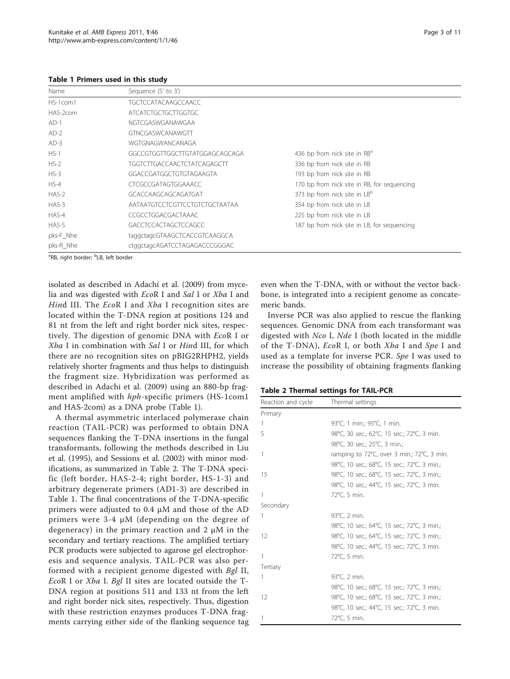<span id="page-2-0"></span>Table 1 Primers used in this study

| Name      | Sequence (5' to 3')                |                                             |
|-----------|------------------------------------|---------------------------------------------|
| HS-1com1  | <b>TGCTCCATACAAGCCAACC</b>         |                                             |
| HAS-2com  | ATCATCTGCTGCTTGGTGC                |                                             |
| $AD-1$    | NGTCGASWGANAWGAA                   |                                             |
| $AD-2$    | <b>GTNCGASWCANAWGTT</b>            |                                             |
| $AD-3$    | WGTGNAGWANCANAGA                   |                                             |
| $HS-1$    | GGCCGTGGTTGGCTTGTATGGAGCAGCAGA     | 436 bp from nick site in RB <sup>a</sup>    |
| $HS-2$    | <b>TGGTCTTGACCAACTCTATCAGAGCTT</b> | 336 bp from nick site in RB                 |
| $HS-3$    | GGACCGATGGCTGTGTAGAAGTA            | 193 bp from nick site in RB                 |
| $HS-4$    | CTCGCCGATAGTGGAAACC                | 170 bp from nick site in RB, for sequencing |
| $HAS-2$   | GCACCAAGCAGCAGATGAT                | 373 bp from nick site in LB <sup>b</sup>    |
| $HAS-3$   | AATAATGTCCTCGTTCCTGTCTGCTAATAA     | 354 bp from nick site in LB                 |
| HAS-4     | CCGCCTGGACGACTAAAC                 | 225 bp from nick site in LB                 |
| $HAS-5$   | <b>GACCTCCACTAGCTCCAGCC</b>        | 187 bp from nick site in LB, for sequencing |
| pks-F_Nhe | taggctagcGTAAGCTCACCGTCAAGGCA      |                                             |
| pks-R Nhe | ctggctagcAGATCCTAGAGACCCGGGAC      |                                             |

<sup>a</sup>RB, right border; <sup>b</sup>LB, left border

isolated as described in [Adachi et al. \(2009\)](#page-9-0) from mycelia and was digested with EcoR I and Sal I or Xba I and Hind III. The EcoR I and Xba I recognition sites are located within the T-DNA region at positions 124 and 81 nt from the left and right border nick sites, respectively. The digestion of genomic DNA with EcoR I or Xba I in combination with Sal I or Hind III, for which there are no recognition sites on pBIG2RHPH2, yields relatively shorter fragments and thus helps to distinguish the fragment size. Hybridization was performed as described in [Adachi et al. \(2009\)](#page-9-0) using an 880-bp fragment amplified with hph-specific primers (HS-1com1 and HAS-2com) as a DNA probe (Table 1).

A thermal asymmetric interlaced polymerase chain reaction (TAIL-PCR) was performed to obtain DNA sequences flanking the T-DNA insertions in the fungal transformants, following the methods described in [Liu](#page-9-0) [et al. \(1995\),](#page-9-0) and [Sessions et al. \(2002\)](#page-9-0) with minor modifications, as summarized in Table 2. The T-DNA specific (left border, HAS-2-4; right border, HS-1-3) and arbitrary degenerate primers (AD1-3) are described in Table 1. The final concentrations of the T-DNA-specific primers were adjusted to 0.4 μM and those of the AD primers were 3-4 μM (depending on the degree of degeneracy) in the primary reaction and 2 μM in the secondary and tertiary reactions. The amplified tertiary PCR products were subjected to agarose gel electrophoresis and sequence analysis. TAIL-PCR was also performed with a recipient genome digested with Bgl II, EcoR I or Xba I. Bgl II sites are located outside the T-DNA region at positions 511 and 133 nt from the left and right border nick sites, respectively. Thus, digestion with these restriction enzymes produces T-DNA fragments carrying either side of the flanking sequence tag even when the T-DNA, with or without the vector backbone, is integrated into a recipient genome as concatemeric bands.

Inverse PCR was also applied to rescue the flanking sequences. Genomic DNA from each transformant was digested with Nco I, Nde I (both located in the middle of the T-DNA), EcoR I, or both Xba I and Spe I and used as a template for inverse PCR. Spe I was used to increase the possibility of obtaining fragments flanking

Table 2 Thermal settings for TAIL-PCR

| Reaction and cycle | Thermal settings                            |
|--------------------|---------------------------------------------|
| Primary            |                                             |
| 1                  | 93°C, 1 min.; 95°C, 1 min.                  |
| 5                  | 98°C, 30 sec.; 62°C, 15 sec.; 72°C, 3 min.  |
|                    | 98°C, 30 sec.; 25°C, 3 min.;                |
| 1                  | ramping to 72°C, over 3 min.; 72°C, 3 min.  |
|                    | 98°C, 10 sec.; 68°C, 15 sec.; 72°C, 3 min.; |
| 15                 | 98°C, 10 sec.; 68°C, 15 sec.; 72°C, 3 min.; |
|                    | 98°C, 10 sec.; 44°C, 15 sec.; 72°C, 3 min.  |
| 1                  | 72°C, 5 min.                                |
| Secondary          |                                             |
| 1                  | 93°C, 2 min.                                |
|                    | 98°C, 10 sec.; 64°C, 15 sec.; 72°C, 3 min.; |
| 12                 | 98°C, 10 sec.; 64°C, 15 sec.; 72°C, 3 min.; |
|                    | 98°C, 10 sec.; 44°C, 15 sec.; 72°C, 3 min.  |
| 1                  | 72°C, 5 min.                                |
| Tertiary           |                                             |
| 1                  | 93°C, 2 min.                                |
|                    | 98°C, 10 sec.; 68°C, 15 sec.; 72°C, 3 min.; |
| 12                 | 98°C, 10 sec.; 68°C, 15 sec.; 72°C, 3 min.; |
|                    | 98°C, 10 sec.; 44°C, 15 sec.; 72°C, 3 min.  |
| 1                  | 72°C, 5 min.                                |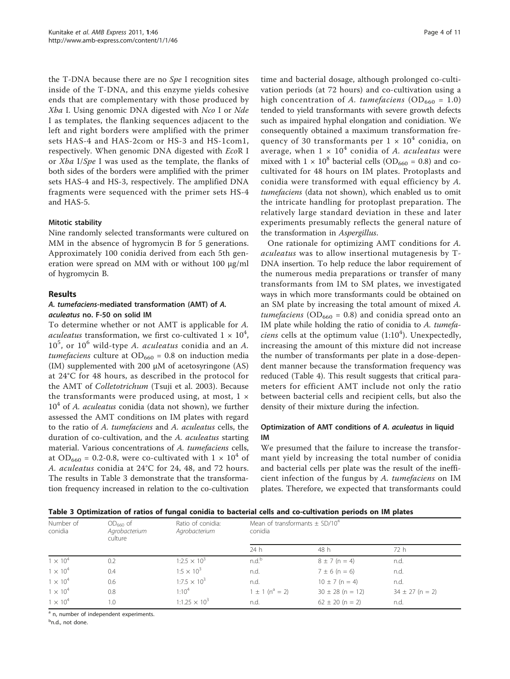<span id="page-3-0"></span>the T-DNA because there are no Spe I recognition sites inside of the T-DNA, and this enzyme yields cohesive ends that are complementary with those produced by Xba I. Using genomic DNA digested with Nco I or Nde I as templates, the flanking sequences adjacent to the left and right borders were amplified with the primer sets HAS-4 and HAS-2com or HS-3 and HS-1com1, respectively. When genomic DNA digested with EcoR I or Xba I/Spe I was used as the template, the flanks of both sides of the borders were amplified with the primer sets HAS-4 and HS-3, respectively. The amplified DNA fragments were sequenced with the primer sets HS-4 and HAS-5.

#### Mitotic stability

Nine randomly selected transformants were cultured on MM in the absence of hygromycin B for 5 generations. Approximately 100 conidia derived from each 5th generation were spread on MM with or without 100 μg/ml of hygromycin B.

#### Results

#### A. tumefaciens-mediated transformation (AMT) of A. aculeatus no. F-50 on solid IM

To determine whether or not AMT is applicable for A. *aculeatus* transformation, we first co-cultivated  $1 \times 10^4$ ,  $10^5$ , or  $10^6$  wild-type A. aculeatus conidia and an A. tumefaciens culture at  $OD_{660} = 0.8$  on induction media (IM) supplemented with 200 μM of acetosyringone (AS) at 24°C for 48 hours, as described in the protocol for the AMT of Colletotrichum ([Tsuji et al. 2003\)](#page-10-0). Because the transformants were produced using, at most,  $1 \times$  $10<sup>4</sup>$  of A. *aculeatus* conidia (data not shown), we further assessed the AMT conditions on IM plates with regard to the ratio of A. tumefaciens and A. aculeatus cells, the duration of co-cultivation, and the A. aculeatus starting material. Various concentrations of A. tumefaciens cells, at OD<sub>660</sub> = 0.2-0.8, were co-cultivated with  $1 \times 10^4$  of A. aculeatus conidia at 24°C for 24, 48, and 72 hours. The results in Table 3 demonstrate that the transformation frequency increased in relation to the co-cultivation

time and bacterial dosage, although prolonged co-cultivation periods (at 72 hours) and co-cultivation using a high concentration of A. tumefaciens (OD<sub>660</sub> = 1.0) tended to yield transformants with severe growth defects such as impaired hyphal elongation and conidiation. We consequently obtained a maximum transformation frequency of 30 transformants per  $1 \times 10^4$  conidia, on average, when  $1 \times 10^4$  conidia of A. *aculeatus* were mixed with  $1 \times 10^8$  bacterial cells (OD<sub>660</sub> = 0.8) and cocultivated for 48 hours on IM plates. Protoplasts and conidia were transformed with equal efficiency by A. tumefaciens (data not shown), which enabled us to omit the intricate handling for protoplast preparation. The relatively large standard deviation in these and later experiments presumably reflects the general nature of the transformation in Aspergillus.

One rationale for optimizing AMT conditions for A. aculeatus was to allow insertional mutagenesis by T-DNA insertion. To help reduce the labor requirement of the numerous media preparations or transfer of many transformants from IM to SM plates, we investigated ways in which more transformants could be obtained on an SM plate by increasing the total amount of mixed A. *tumefaciens* ( $OD_{660} = 0.8$ ) and conidia spread onto an IM plate while holding the ratio of conidia to A. tumefaciens cells at the optimum value  $(1:10<sup>4</sup>)$ . Unexpectedly, increasing the amount of this mixture did not increase the number of transformants per plate in a dose-dependent manner because the transformation frequency was reduced (Table [4\)](#page-4-0). This result suggests that critical parameters for efficient AMT include not only the ratio between bacterial cells and recipient cells, but also the density of their mixture during the infection.

#### Optimization of AMT conditions of A. aculeatus in liquid IM

We presumed that the failure to increase the transformant yield by increasing the total number of conidia and bacterial cells per plate was the result of the inefficient infection of the fungus by A. tumefaciens on IM plates. Therefore, we expected that transformants could

Table 3 Optimization of ratios of fungal conidia to bacterial cells and co-cultivation periods on IM plates

| Number of<br>conidia | $OD660$ of<br>Agrobacterium<br>culture | Ratio of conidia:<br>Agrobacterium | Mean of transformants $\pm$ SD/10 <sup>4</sup><br>conidia |                      |                     |  |
|----------------------|----------------------------------------|------------------------------------|-----------------------------------------------------------|----------------------|---------------------|--|
|                      |                                        |                                    | 24h                                                       | 48 h                 | 72 h                |  |
| $1 \times 10^{4}$    | 0.2                                    | $1:2.5 \times 10^3$                | n.d. <sup>b</sup>                                         | $8 \pm 7$ (n = 4)    | n.d.                |  |
| $1 \times 10^4$      | 0.4                                    | $1:5 \times 10^{3}$                | n.d.                                                      | $7 \pm 6$ (n = 6)    | n.d.                |  |
| $1 \times 10^4$      | 0.6                                    | $1:7.5 \times 10^3$                | n.d.                                                      | $10 \pm 7$ (n = 4)   | n.d.                |  |
| $1 \times 10^4$      | 0.8                                    | $1:10^{4}$                         | $1 \pm 1$ (n <sup>a</sup> = 2)                            | $30 \pm 28$ (n = 12) | $34 \pm 27$ (n = 2) |  |
| $1 \times 10^{4}$    | 1.0                                    | $1:1.25 \times 10^3$               | n.d.                                                      | $62 \pm 20$ (n = 2)  | n.d.                |  |

<sup>a</sup> n, number of independent experiments.

<sup>b</sup>n.d., not done.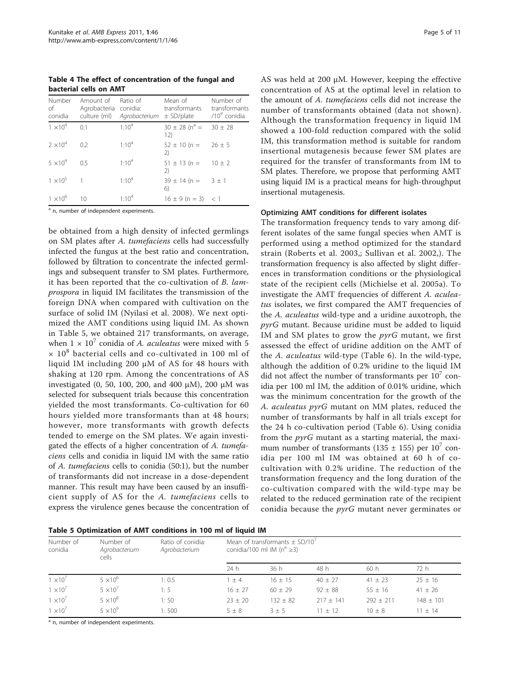<span id="page-4-0"></span>Table 4 The effect of concentration of the fungal and bacterial cells on AMT

| Number<br>of<br>conidia | Amount of<br>culture (ml) | Ratio of<br>Agrobacteria conidia: | Mean of<br>transformants<br>Agrobacterium ± SD/plate | Number of<br>transformants<br>$/104$ conidia |
|-------------------------|---------------------------|-----------------------------------|------------------------------------------------------|----------------------------------------------|
| $1 \times 10^{4}$       | 0.1                       | $1:10^{4}$                        | $30 \pm 28$ (n <sup>a</sup> = 30 $\pm 28$ )<br>12)   |                                              |
| $2 \times 10^4$         | 02                        | $1:10^{4}$                        | $52 \pm 10$ (n = 26 $\pm$ 5<br>(2)                   |                                              |
| $5 \times 10^4$         | 05                        | $1:10^{4}$                        | $51 \pm 13$ (n = $10 \pm 2$<br>$\mathbf{2}$          |                                              |
| $1 \times 10^5$         | $\overline{1}$            | $1:10^{4}$                        | $39 \pm 14$ (n = $3 \pm 1$<br>6)                     |                                              |
| $1 \times 10^{6}$       | 10                        | 1.10 <sup>4</sup>                 | $16 \pm 9$ (n = 3) < 1                               |                                              |

<sup>a</sup> n, number of independent experiments.

be obtained from a high density of infected germlings on SM plates after A. tumefaciens cells had successfully infected the fungus at the best ratio and concentration, followed by filtration to concentrate the infected germlings and subsequent transfer to SM plates. Furthermore, it has been reported that the co-cultivation of B. lamprospora in liquid IM facilitates the transmission of the foreign DNA when compared with cultivation on the surface of solid IM ([Nyilasi et al. 2008](#page-9-0)). We next optimized the AMT conditions using liquid IM. As shown in Table 5, we obtained 217 transformants, on average, when  $1 \times 10^7$  conidia of A. aculeatus were mixed with 5  $\times$  10<sup>8</sup> bacterial cells and co-cultivated in 100 ml of liquid IM including 200 μM of AS for 48 hours with shaking at 120 rpm. Among the concentrations of AS investigated (0, 50, 100, 200, and 400 μM), 200 μM was selected for subsequent trials because this concentration yielded the most transformants. Co-cultivation for 60 hours yielded more transformants than at 48 hours; however, more transformants with growth defects tended to emerge on the SM plates. We again investigated the effects of a higher concentration of A. tumefaciens cells and conidia in liquid IM with the same ratio of A. tumefaciens cells to conidia (50:1), but the number of transformants did not increase in a dose-dependent manner. This result may have been caused by an insufficient supply of AS for the A. tumefaciens cells to express the virulence genes because the concentration of

AS was held at 200 μM. However, keeping the effective concentration of AS at the optimal level in relation to the amount of A. tumefaciens cells did not increase the number of transformants obtained (data not shown). Although the transformation frequency in liquid IM showed a 100-fold reduction compared with the solid IM, this transformation method is suitable for random insertional mutagenesis because fewer SM plates are required for the transfer of transformants from IM to SM plates. Therefore, we propose that performing AMT using liquid IM is a practical means for high-throughput insertional mutagenesis.

### Optimizing AMT conditions for different isolates

The transformation frequency tends to vary among different isolates of the same fungal species when AMT is performed using a method optimized for the standard strain ([Roberts et al. 2003](#page-9-0),; [Sullivan et al. 2002](#page-9-0),). The transformation frequency is also affected by slight differences in transformation conditions or the physiological state of the recipient cells ([Michielse et al. 2005a\)](#page-9-0). To investigate the AMT frequencies of different A. aculeatus isolates, we first compared the AMT frequencies of the A. aculeatus wild-type and a uridine auxotroph, the pyrG mutant. Because uridine must be added to liquid IM and SM plates to grow the  $pyrG$  mutant, we first assessed the effect of uridine addition on the AMT of the A. aculeatus wild-type (Table [6\)](#page-5-0). In the wild-type, although the addition of 0.2% uridine to the liquid IM did not affect the number of transformants per  $10<sup>7</sup>$  conidia per 100 ml IM, the addition of 0.01% uridine, which was the minimum concentration for the growth of the A. aculeatus pyrG mutant on MM plates, reduced the number of transformants by half in all trials except for the 24 h co-cultivation period (Table [6](#page-5-0)). Using conidia from the *pyrG* mutant as a starting material, the maximum number of transformants (135  $\pm$  155) per 10<sup>7</sup> conidia per 100 ml IM was obtained at 60 h of cocultivation with 0.2% uridine. The reduction of the transformation frequency and the long duration of the co-cultivation compared with the wild-type may be related to the reduced germination rate of the recipient conidia because the pyrG mutant never germinates or

|  | Table 5 Optimization of AMT conditions in 100 ml of liquid IM |  |  |  |  |  |  |  |  |
|--|---------------------------------------------------------------|--|--|--|--|--|--|--|--|
|--|---------------------------------------------------------------|--|--|--|--|--|--|--|--|

| Number of<br>conidia | Number of<br>Agrobacterium<br>cells | Ratio of conidia:<br>Agrobacterium | Mean of transformants $\pm$ SD/10 <sup>7</sup><br>conidia/100 ml IM ( $n^a \ge 3$ ) |             |             |             |             |
|----------------------|-------------------------------------|------------------------------------|-------------------------------------------------------------------------------------|-------------|-------------|-------------|-------------|
|                      |                                     |                                    | 24 h                                                                                | 36 h        | 48 h        | 60h         | 72 h        |
| $1 \times 10^{7}$    | $5 \times 10^6$                     | 1:0.5                              | $+4$                                                                                | $16 + 15$   | $40 + 27$   | $41 \pm 23$ | $25 \pm 16$ |
| $1 \times 10^7$      | $5 \times 10^{7}$                   | 1: 5                               | $16 \pm 27$                                                                         | $60 \pm 29$ | $92 \pm 88$ | $55 \pm 16$ | $41 \pm 26$ |
| $1 \times 10^7$      | $5 \times 10^8$                     | 1:50                               | $23 + 20$                                                                           | $132 + 82$  | $217 + 141$ | $292 + 211$ | $148 + 101$ |
| $1 \times 10^{7}$    | $5 \times 10^9$                     | 1:500                              | $5 \pm 8$                                                                           | $3 + 5$     | $11 + 12$   | $10 + 8$    | $11 + 14$   |

<sup>a</sup> n, number of independent experiments.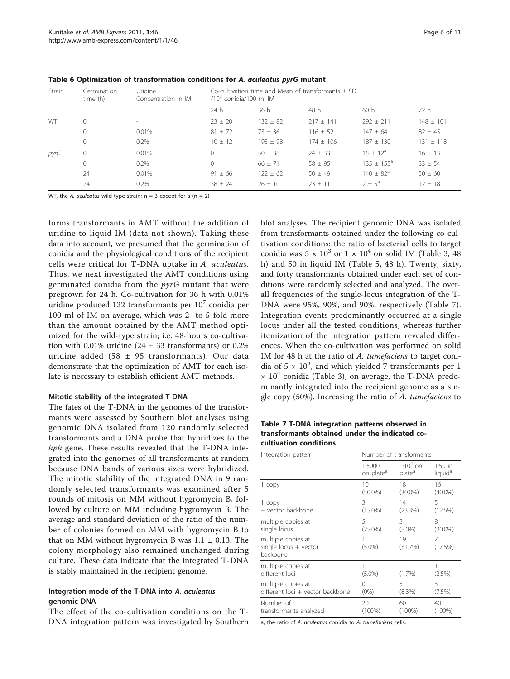| Strain    | Germination<br>time (h) | Uridine<br>Concentration in IM | Co-cultivation time and Mean of transformants $\pm$ SD<br>$/107$ conidia/100 ml IM |              |             |                       |               |  |
|-----------|-------------------------|--------------------------------|------------------------------------------------------------------------------------|--------------|-------------|-----------------------|---------------|--|
|           |                         |                                | 24h                                                                                | 36 h         | 48 h        | 60h                   | 72 h          |  |
| <b>WT</b> | $\Omega$                | $\overline{\phantom{a}}$       | $23 + 20$                                                                          | $132 \pm 82$ | $217 + 141$ | $292 + 211$           | $148 \pm 101$ |  |
|           | 0                       | 0.01%                          | $81 + 72$                                                                          | $73 + 36$    | $116 + 52$  | $147 + 64$            | $82 + 45$     |  |
|           | $\circ$                 | 0.2%                           | $10 \pm 12$                                                                        | $193 + 98$   | $174 + 106$ | $187 + 130$           | $131 \pm 118$ |  |
| pyrG      | $\circ$                 | 0.01%                          | $\bigcap$                                                                          | $50 + 38$    | $24 + 33$   | $15 + 12^a$           | $16 + 13$     |  |
|           | $\overline{0}$          | 0.2%                           |                                                                                    | $66 + 71$    | $58 + 95$   | $135 \pm 155^{\circ}$ | $33 \pm 54$   |  |
|           | 24                      | 0.01%                          | $91 + 66$                                                                          | $122 + 62$   | $50 + 49$   | $140 \pm 82^{\circ}$  | $50 + 60$     |  |
|           | 24                      | 0.2%                           | $38 + 24$                                                                          | $26 + 10$    | $23 + 11$   | $2 \pm 5^{\circ}$     | $12 + 18$     |  |

<span id="page-5-0"></span>Table 6 Optimization of transformation conditions for A. aculeatus pyrG mutant

WT, the A. aculeatus wild-type strain;  $n = 3$  except for a ( $n = 2$ )

forms transformants in AMT without the addition of uridine to liquid IM (data not shown). Taking these data into account, we presumed that the germination of conidia and the physiological conditions of the recipient cells were critical for T-DNA uptake in A. aculeatus. Thus, we next investigated the AMT conditions using germinated conidia from the  $pyrG$  mutant that were pregrown for 24 h. Co-cultivation for 36 h with 0.01% uridine produced 122 transformants per  $10<sup>7</sup>$  conidia per 100 ml of IM on average, which was 2- to 5-fold more than the amount obtained by the AMT method optimized for the wild-type strain; i.e. 48-hours co-cultivation with 0.01% uridine (24  $\pm$  33 transformants) or 0.2% uridine added (58 ± 95 transformants). Our data demonstrate that the optimization of AMT for each isolate is necessary to establish efficient AMT methods.

#### Mitotic stability of the integrated T-DNA

The fates of the T-DNA in the genomes of the transformants were assessed by Southern blot analyses using genomic DNA isolated from 120 randomly selected transformants and a DNA probe that hybridizes to the hph gene. These results revealed that the T-DNA integrated into the genomes of all transformants at random because DNA bands of various sizes were hybridized. The mitotic stability of the integrated DNA in 9 randomly selected transformants was examined after 5 rounds of mitosis on MM without hygromycin B, followed by culture on MM including hygromycin B. The average and standard deviation of the ratio of the number of colonies formed on MM with hygromycin B to that on MM without hygromycin B was  $1.1 \pm 0.13$ . The colony morphology also remained unchanged during culture. These data indicate that the integrated T-DNA is stably maintained in the recipient genome.

#### Integration mode of the T-DNA into A. aculeatus genomic DNA

The effect of the co-cultivation conditions on the T-DNA integration pattern was investigated by Southern blot analyses. The recipient genomic DNA was isolated from transformants obtained under the following co-cultivation conditions: the ratio of bacterial cells to target conidia was  $5 \times 10^3$  or  $1 \times 10^4$  on solid IM (Table [3](#page-3-0), 48) h) and 50 in liquid IM (Table [5,](#page-4-0) 48 h). Twenty, sixty, and forty transformants obtained under each set of conditions were randomly selected and analyzed. The overall frequencies of the single-locus integration of the T-DNA were 95%, 90%, and 90%, respectively (Table 7). Integration events predominantly occurred at a single locus under all the tested conditions, whereas further itemization of the integration pattern revealed differences. When the co-cultivation was performed on solid IM for 48 h at the ratio of A. tumefaciens to target conidia of  $5 \times 10^3$ , and which yielded 7 transformants per 1  $\times$  10<sup>4</sup> conidia (Table [3\)](#page-3-0), on average, the T-DNA predominantly integrated into the recipient genome as a single copy (50%). Increasing the ratio of A. tumefaciens to

#### Table 7 T-DNA integration patterns observed in transformants obtained under the indicated cocultivation conditions

| Integration pattern                                       | Number of transformants |                    |                     |  |  |
|-----------------------------------------------------------|-------------------------|--------------------|---------------------|--|--|
|                                                           | 1:5000                  | $1:10^4$ on        | $1:50$ in           |  |  |
|                                                           | on plate <sup>a</sup>   | plate <sup>a</sup> | liquid <sup>a</sup> |  |  |
| 1 copy                                                    | 10                      | 18                 | 16                  |  |  |
|                                                           | $(50.0\%)$              | $(30.0\%)$         | $(40.0\%)$          |  |  |
| 1 copy                                                    | 3                       | 14                 | 5                   |  |  |
| + vector backbone                                         | $(15.0\%)$              | (23.3%)            | (12.5%)             |  |  |
| multiple copies at                                        | 5                       | 3                  | 8                   |  |  |
| single locus                                              | $(25.0\%)$              | $(5.0\%)$          | $(20.0\%)$          |  |  |
| multiple copies at<br>single locus $+$ vector<br>backbone | $(5.0\%)$               | 19<br>(31.7%)      | 7<br>(17.5%)        |  |  |
| multiple copies at<br>different loci                      | $(5.0\%)$               | $(1.7\%)$          | 1<br>$(2.5\%)$      |  |  |
| multiple copies at                                        | Ω                       | 5                  | 3                   |  |  |
| different loci + vector backbone                          | $(0\%)$                 | $(8.3\%)$          | $(7.5\%)$           |  |  |
| Number of                                                 | 20                      | 60                 | 40                  |  |  |
| transformants analyzed                                    | $(100\%)$               | $(100\%)$          | $(100\%)$           |  |  |

a, the ratio of A. aculeatus conidia to A. tumefaciens cells.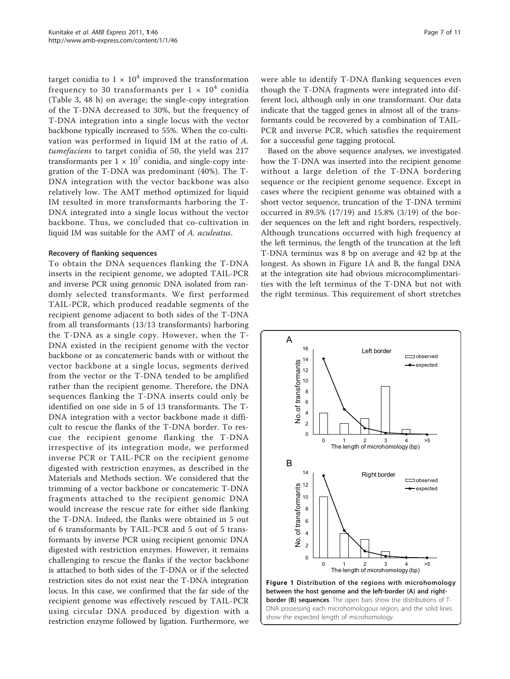target conidia to  $1 \times 10^4$  improved the transformation frequency to 30 transformants per  $1 \times 10^4$  conidia (Table [3](#page-3-0), 48 h) on average; the single-copy integration of the T-DNA decreased to 30%, but the frequency of T-DNA integration into a single locus with the vector backbone typically increased to 55%. When the co-cultivation was performed in liquid IM at the ratio of A. tumefaciens to target conidia of 50, the yield was 217 transformants per  $1 \times 10^7$  conidia, and single-copy integration of the T-DNA was predominant (40%). The T-DNA integration with the vector backbone was also relatively low. The AMT method optimized for liquid IM resulted in more transformants harboring the T-DNA integrated into a single locus without the vector backbone. Thus, we concluded that co-cultivation in liquid IM was suitable for the AMT of A. aculeatus.

#### Recovery of flanking sequences

To obtain the DNA sequences flanking the T-DNA inserts in the recipient genome, we adopted TAIL-PCR and inverse PCR using genomic DNA isolated from randomly selected transformants. We first performed TAIL-PCR, which produced readable segments of the recipient genome adjacent to both sides of the T-DNA from all transformants (13/13 transformants) harboring the T-DNA as a single copy. However, when the T-DNA existed in the recipient genome with the vector backbone or as concatemeric bands with or without the vector backbone at a single locus, segments derived from the vector or the T-DNA tended to be amplified rather than the recipient genome. Therefore, the DNA sequences flanking the T-DNA inserts could only be identified on one side in 5 of 13 transformants. The T-DNA integration with a vector backbone made it difficult to rescue the flanks of the T-DNA border. To rescue the recipient genome flanking the T-DNA irrespective of its integration mode, we performed inverse PCR or TAIL-PCR on the recipient genome digested with restriction enzymes, as described in the Materials and Methods section. We considered that the trimming of a vector backbone or concatemeric T-DNA fragments attached to the recipient genomic DNA would increase the rescue rate for either side flanking the T-DNA. Indeed, the flanks were obtained in 5 out of 6 transformants by TAIL-PCR and 5 out of 5 transformants by inverse PCR using recipient genomic DNA digested with restriction enzymes. However, it remains challenging to rescue the flanks if the vector backbone is attached to both sides of the T-DNA or if the selected restriction sites do not exist near the T-DNA integration locus. In this case, we confirmed that the far side of the recipient genome was effectively rescued by TAIL-PCR using circular DNA produced by digestion with a restriction enzyme followed by ligation. Furthermore, we

were able to identify T-DNA flanking sequences even though the T-DNA fragments were integrated into different loci, although only in one transformant. Our data indicate that the tagged genes in almost all of the transformants could be recovered by a combination of TAIL-PCR and inverse PCR, which satisfies the requirement for a successful gene tagging protocol.

Based on the above sequence analyses, we investigated how the T-DNA was inserted into the recipient genome without a large deletion of the T-DNA bordering sequence or the recipient genome sequence. Except in cases where the recipient genome was obtained with a short vector sequence, truncation of the T-DNA termini occurred in 89.5% (17/19) and 15.8% (3/19) of the border sequences on the left and right borders, respectively. Although truncations occurred with high frequency at the left terminus, the length of the truncation at the left T-DNA terminus was 8 bp on average and 42 bp at the longest. As shown in Figure 1A and B, the fungal DNA at the integration site had obvious microcomplimentarities with the left terminus of the T-DNA but not with the right terminus. This requirement of short stretches

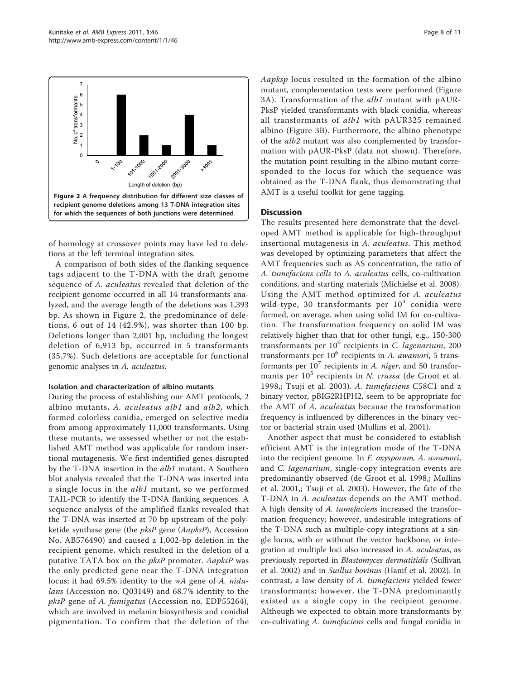

of homology at crossover points may have led to deletions at the left terminal integration sites.

A comparison of both sides of the flanking sequence tags adjacent to the T-DNA with the draft genome sequence of A. aculeatus revealed that deletion of the recipient genome occurred in all 14 transformants analyzed, and the average length of the deletions was 1,393 bp. As shown in Figure 2, the predominance of deletions, 6 out of 14 (42.9%), was shorter than 100 bp. Deletions longer than 2,001 bp, including the longest deletion of 6,913 bp, occurred in 5 transformants (35.7%). Such deletions are acceptable for functional genomic analyses in A. aculeatus.

#### Isolation and characterization of albino mutants

During the process of establishing our AMT protocols, 2 albino mutants, A. aculeatus alb1 and alb2, which formed colorless conidia, emerged on selective media from among approximately 11,000 transformants. Using these mutants, we assessed whether or not the established AMT method was applicable for random insertional mutagenesis. We first indentified genes disrupted by the T-DNA insertion in the *alb1* mutant. A Southern blot analysis revealed that the T-DNA was inserted into a single locus in the *alb1* mutant, so we performed TAIL-PCR to identify the T-DNA flanking sequences. A sequence analysis of the amplified flanks revealed that the T-DNA was inserted at 70 bp upstream of the polyketide synthase gene (the pksP gene (AapksP), Accession No. AB576490) and caused a 1,002-bp deletion in the recipient genome, which resulted in the deletion of a putative TATA box on the  $pksP$  promoter. AapksP was the only predicted gene near the T-DNA integration locus; it had 69.5% identity to the wA gene of A. nidulans (Accession no. Q03149) and 68.7% identity to the pksP gene of A. fumigatus (Accession no. EDP55264), which are involved in melanin biosynthesis and conidial pigmentation. To confirm that the deletion of the Aapksp locus resulted in the formation of the albino mutant, complementation tests were performed (Figure [3A](#page-8-0)). Transformation of the alb1 mutant with pAUR-PksP yielded transformants with black conidia, whereas all transformants of alb1 with pAUR325 remained albino (Figure [3B](#page-8-0)). Furthermore, the albino phenotype of the alb2 mutant was also complemented by transformation with pAUR-PksP (data not shown). Therefore, the mutation point resulting in the albino mutant corresponded to the locus for which the sequence was obtained as the T-DNA flank, thus demonstrating that AMT is a useful toolkit for gene tagging.

#### **Discussion**

The results presented here demonstrate that the developed AMT method is applicable for high-throughput insertional mutagenesis in A. aculeatus. This method was developed by optimizing parameters that affect the AMT frequencies such as AS concentration, the ratio of A. tumefaciens cells to A. aculeatus cells, co-cultivation conditions, and starting materials [\(Michielse et al. 2008](#page-9-0)). Using the AMT method optimized for A. aculeatus wild-type, 30 transformants per  $10<sup>4</sup>$  conidia were formed, on average, when using solid IM for co-cultivation. The transformation frequency on solid IM was relatively higher than that for other fungi, e.g., 150-300 transformants per  $10^6$  recipients in C. lagenarium, 200 transformants per  $10^6$  recipients in A. awamori, 5 transformants per  $10^7$  recipients in A. niger, and 50 transformants per  $10^5$  recipients in N. crassa ([de Groot et al.](#page-9-0) [1998](#page-9-0),; [Tsuji et al. 2003](#page-10-0)). A. tumefaciens C58C1 and a binary vector, pBIG2RHPH2, seem to be appropriate for the AMT of A. aculeatus because the transformation frequency is influenced by differences in the binary vector or bacterial strain used ([Mullins et al. 2001\)](#page-9-0).

Another aspect that must be considered to establish efficient AMT is the integration mode of the T-DNA into the recipient genome. In F. oxysporum, A. awamori, and C. lagenarium, single-copy integration events are predominantly observed ([de Groot et al. 1998,](#page-9-0); [Mullins](#page-9-0) [et al. 2001](#page-9-0),; [Tsuji et al. 2003](#page-10-0)). However, the fate of the T-DNA in A. aculeatus depends on the AMT method. A high density of A. tumefaciens increased the transformation frequency; however, undesirable integrations of the T-DNA such as multiple-copy integrations at a single locus, with or without the vector backbone, or integration at multiple loci also increased in A. aculeatus, as previously reported in Blastomyces dermatitidis [\(Sullivan](#page-9-0) [et al. 2002\)](#page-9-0) and in Suillus bovinus [\(Hanif et al. 2002](#page-9-0)). In contrast, a low density of A. tumefaciens yielded fewer transformants; however, the T-DNA predominantly existed as a single copy in the recipient genome. Although we expected to obtain more transformants by co-cultivating A. tumefaciens cells and fungal conidia in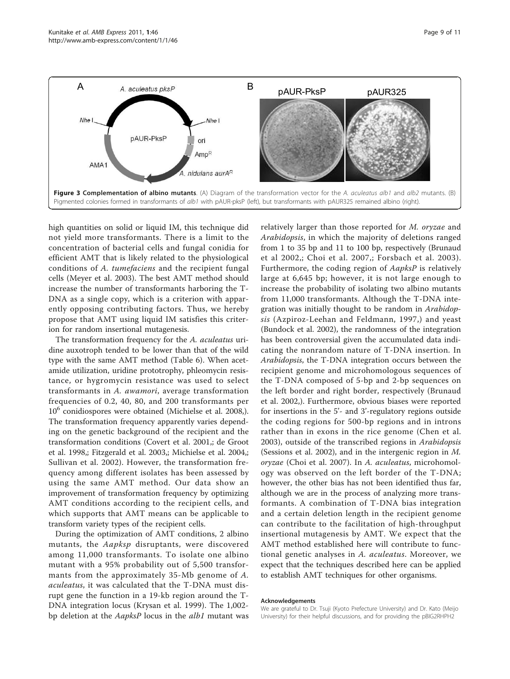<span id="page-8-0"></span>

high quantities on solid or liquid IM, this technique did not yield more transformants. There is a limit to the concentration of bacterial cells and fungal conidia for efficient AMT that is likely related to the physiological conditions of A. tumefaciens and the recipient fungal cells [\(Meyer et al. 2003\)](#page-9-0). The best AMT method should increase the number of transformants harboring the T-DNA as a single copy, which is a criterion with apparently opposing contributing factors. Thus, we hereby propose that AMT using liquid IM satisfies this criterion for random insertional mutagenesis.

The transformation frequency for the A. aculeatus uridine auxotroph tended to be lower than that of the wild type with the same AMT method (Table [6\)](#page-5-0). When acetamide utilization, uridine prototrophy, phleomycin resistance, or hygromycin resistance was used to select transformants in A. awamori, average transformation frequencies of 0.2, 40, 80, and 200 transformants per  $10<sup>6</sup>$  conidiospores were obtained ([Michielse et al. 2008](#page-9-0),). The transformation frequency apparently varies depending on the genetic background of the recipient and the transformation conditions [\(Covert et al. 2001](#page-9-0),; [de Groot](#page-9-0) [et al. 1998,](#page-9-0); [Fitzgerald et al. 2003](#page-9-0),; [Michielse et al. 2004](#page-9-0),; [Sullivan et al. 2002\)](#page-9-0). However, the transformation frequency among different isolates has been assessed by using the same AMT method. Our data show an improvement of transformation frequency by optimizing AMT conditions according to the recipient cells, and which supports that AMT means can be applicable to transform variety types of the recipient cells.

During the optimization of AMT conditions, 2 albino mutants, the Aapksp disruptants, were discovered among 11,000 transformants. To isolate one albino mutant with a 95% probability out of 5,500 transformants from the approximately 35-Mb genome of A. aculeatus, it was calculated that the T-DNA must disrupt gene the function in a 19-kb region around the T-DNA integration locus [\(Krysan et al. 1999\)](#page-9-0). The 1,002 bp deletion at the AapksP locus in the alb1 mutant was

relatively larger than those reported for M. oryzae and Arabidopsis, in which the majority of deletions ranged from 1 to 35 bp and 11 to 100 bp, respectively ([Brunaud](#page-9-0) [et al 2002,](#page-9-0); [Choi et al. 2007,](#page-9-0); [Forsbach et al. 2003\)](#page-9-0). Furthermore, the coding region of AapksP is relatively large at 6,645 bp; however, it is not large enough to increase the probability of isolating two albino mutants from 11,000 transformants. Although the T-DNA integration was initially thought to be random in Arabidopsis ([Azpiroz-Leehan and Feldmann, 1997](#page-9-0),) and yeast ([Bundock et al. 2002\)](#page-9-0), the randomness of the integration has been controversial given the accumulated data indicating the nonrandom nature of T-DNA insertion. In Arabidopsis, the T-DNA integration occurs between the recipient genome and microhomologous sequences of the T-DNA composed of 5-bp and 2-bp sequences on the left border and right border, respectively ([Brunaud](#page-9-0) [et al. 2002](#page-9-0),). Furthermore, obvious biases were reported for insertions in the 5'- and 3'-regulatory regions outside the coding regions for 500-bp regions and in introns rather than in exons in the rice genome ([Chen et al.](#page-9-0) [2003\)](#page-9-0), outside of the transcribed regions in Arabidopsis ([Sessions et al. 2002](#page-9-0)), and in the intergenic region in M. oryzae ([Choi et al. 2007](#page-9-0)). In A. aculeatus, microhomology was observed on the left border of the T-DNA; however, the other bias has not been identified thus far, although we are in the process of analyzing more transformants. A combination of T-DNA bias integration and a certain deletion length in the recipient genome can contribute to the facilitation of high-throughput insertional mutagenesis by AMT. We expect that the AMT method established here will contribute to functional genetic analyses in A. aculeatus. Moreover, we expect that the techniques described here can be applied to establish AMT techniques for other organisms.

#### Acknowledgements

We are grateful to Dr. Tsuji (Kyoto Prefecture University) and Dr. Kato (Meijo University) for their helpful discussions, and for providing the pBIG2RHPH2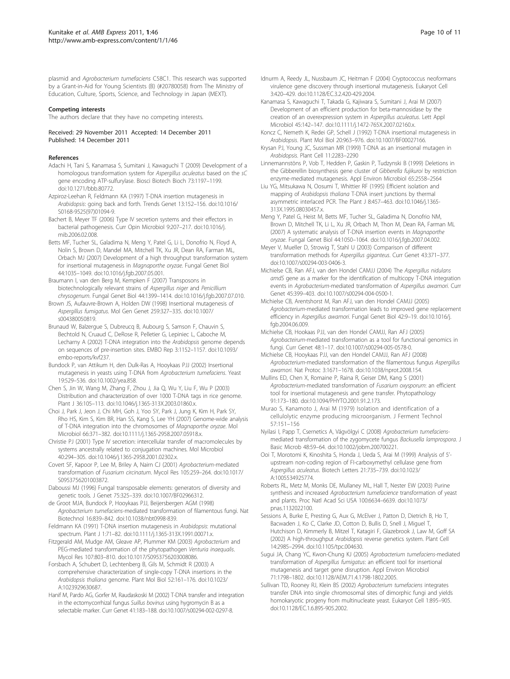<span id="page-9-0"></span>plasmid and Agrobacterium tumefaciens C58C1. This research was supported by a Grant-in-Aid for Young Scientists (B) (#20780058) from The Ministry of Education, Culture, Sports, Science, and Technology in Japan (MEXT).

#### Competing interests

The authors declare that they have no competing interests.

#### Received: 29 November 2011 Accepted: 14 December 2011 Published: 14 December 2011

#### References

- Adachi H, Tani S, Kanamasa S, Sumitani J, Kawaguchi T (2009) Development of a homologous transformation system for Aspergillus aculeatus based on the sC gene encoding ATP-sulfurylase. Biosci Biotech Bioch 73:1197–1199. doi:10.1271/bbb.80772.
- Azpiroz-Leehan R, Feldmann KA (1997) [T-DNA insertion mutagenesis in](http://www.ncbi.nlm.nih.gov/pubmed/9097726?dopt=Abstract) Arabidopsis[: going back and forth.](http://www.ncbi.nlm.nih.gov/pubmed/9097726?dopt=Abstract) Trends Genet 13:152–156. doi:10.1016/ S0168-9525(97)01094-9.
- Bachert B, Meyer TF (2006[\) Type IV secretion systems and their effectors in](http://www.ncbi.nlm.nih.gov/pubmed/16529981?dopt=Abstract) [bacterial pathogenesis.](http://www.ncbi.nlm.nih.gov/pubmed/16529981?dopt=Abstract) Curr Opin Microbiol 9:207–217. doi:10.1016/j. mib.2006.02.008.
- Betts MF, Tucher SL, Galadima N, Meng Y, Patel G, Li L, Donofrio N, Floyd A, Nolin S, Brown D, Mandel MA, Mitchell TK, Xu JR, Dean RA, Farman ML, Orbach MJ (2007) [Development of a high throughput transformation system](http://www.ncbi.nlm.nih.gov/pubmed/17600737?dopt=Abstract) [for insertional mutagenesis in](http://www.ncbi.nlm.nih.gov/pubmed/17600737?dopt=Abstract) Magnaporthe oryzae. Fungal Genet Biol 44:1035–1049. doi:10.1016/j.fgb.2007.05.001.
- Braumann I, van den Berg M, Kempken F (2007[\) Transposons in](http://www.ncbi.nlm.nih.gov/pubmed/17881255?dopt=Abstract) [biotechnologically relevant strains of](http://www.ncbi.nlm.nih.gov/pubmed/17881255?dopt=Abstract) Aspergillus niger and Penicillium [chrysogenum](http://www.ncbi.nlm.nih.gov/pubmed/17881255?dopt=Abstract). Fungal Genet Biol 44:1399–1414. doi:10.1016/j.fgb.2007.07.010.
- Brown JS, Aufauvre-Brown A, Holden DW (1998[\) Insertional mutagenesis of](http://www.ncbi.nlm.nih.gov/pubmed/9749676?dopt=Abstract) [Aspergillus fumigatus](http://www.ncbi.nlm.nih.gov/pubmed/9749676?dopt=Abstract). Mol Gen Genet 259:327–335. doi:10.1007/ s004380050819.
- Brunaud W, Balzergue S, Dubreucq B, Aubourg S, Samson F, Chauvin S, Bechtold N, Cruaud C, DeRose R, Pelletier G, Lepiniec L, Caboche M, Lecharny A (2002) [T-DNA integration into the](http://www.ncbi.nlm.nih.gov/pubmed/12446565?dopt=Abstract) Arabidopsis genome depends [on sequences of pre-insertion sites.](http://www.ncbi.nlm.nih.gov/pubmed/12446565?dopt=Abstract) EMBO Rep 3:1152–1157. doi:10.1093/ embo-reports/kvf237.
- Bundock P, van Attikum H, den Dulk-Ras A, Hooykaas PJJ (2002) [Insertional](http://www.ncbi.nlm.nih.gov/pubmed/11921101?dopt=Abstract) [mutagenesis in yeasts using T-DNA from](http://www.ncbi.nlm.nih.gov/pubmed/11921101?dopt=Abstract) Agrobacterium tumefaciens. Yeast 19:529–536. doi:10.1002/yea.858.
- Chen S, Jin W, Wang M, Zhang F, Zhou J, Jia Q, Wu Y, Liu F, Wu P (2003) [Distribution and characterization of over 1000 T-DNA tags in rice genome.](http://www.ncbi.nlm.nih.gov/pubmed/12974815?dopt=Abstract) Plant J 36:105–113. doi:10.1046/j.1365-313X.2003.01860.x.
- Choi J, Park J, Jeon J, Chi MH, Goh J, Yoo SY, Park J, Jung K, Kim H, Park SY, Rho HS, Kim S, Kim BR, Han SS, Kang S, Lee YH (2007[\) Genome-wide analysis](http://www.ncbi.nlm.nih.gov/pubmed/17850257?dopt=Abstract) [of T-DNA integration into the chromosomes of](http://www.ncbi.nlm.nih.gov/pubmed/17850257?dopt=Abstract) Magnaporthe oryzae. Mol Microbiol 66:371–382. doi:10.1111/j.1365-2958.2007.05918.x.
- Christie PJ (2001) [Type IV secretion: intercellular transfer of macromolecules by](http://www.ncbi.nlm.nih.gov/pubmed/11309113?dopt=Abstract) [systems ancestrally related to conjugation machines.](http://www.ncbi.nlm.nih.gov/pubmed/11309113?dopt=Abstract) Mol Microbiol 40:294–305. doi:10.1046/j.1365-2958.2001.02302.x.
- Covert SF, Kapoor P, Lee M, Briley A, Nairn CJ (2001) Agrobacterium-mediated transformation of Fusarium circinatum. Mycol Res 105:259–264. doi:10.1017/ S0953756201003872.
- Daboussi MJ (1996) Fungal transposable elements: generators of diversity and genetic tools. J Genet 75:325–339. doi:10.1007/BF02966312.
- de Groot MJA, Bundock P, Hooykaas PJJ, Beijersbergen AGM (1998) Agrobacterium tumefaciens[-mediated transformation of filamentous fungi.](http://www.ncbi.nlm.nih.gov/pubmed/9743116?dopt=Abstract) Nat Biotechnol 16:839–842. doi:10.1038/nbt0998-839.
- Feldmann KA (1991) T-DNA insertion mutagenesis in Arabidopsis: mutational spectrum. Plant J 1:71–82. doi:10.1111/j.1365-313X.1991.00071.x.
- Fitzgerald AM, Mudge AM, Gleave AP, Plummer KM (2003) [Agrobacterium](http://www.ncbi.nlm.nih.gov/pubmed/12967207?dopt=Abstract) and PEG-mediated [transformation of the phytopathogen](http://www.ncbi.nlm.nih.gov/pubmed/12967207?dopt=Abstract) Venturia inaequalis. Mycol Res 107:803–810. doi:10.1017/S0953756203008086.
- Forsbach A, Schubert D, Lechtenberg B, Gils M, Schmidt R (2003) [A](http://www.ncbi.nlm.nih.gov/pubmed/12825697?dopt=Abstract) [comprehensive characterization of single-copy T-DNA insertions in the](http://www.ncbi.nlm.nih.gov/pubmed/12825697?dopt=Abstract) [Arabidopsis thaliana](http://www.ncbi.nlm.nih.gov/pubmed/12825697?dopt=Abstract) genome. Plant Mol Biol 52:161–176. doi:10.1023/ A:1023929630687.
- Hanif M, Pardo AG, Gorfer M, Raudaskoski M (2002) [T-DNA transfer and integration](http://www.ncbi.nlm.nih.gov/pubmed/12174821?dopt=Abstract) [in the ectomycorrhizal fungus](http://www.ncbi.nlm.nih.gov/pubmed/12174821?dopt=Abstract) Suillus bovinus using hygromycin B as a [selectable marker.](http://www.ncbi.nlm.nih.gov/pubmed/12174821?dopt=Abstract) Curr Genet 41:183–188. doi:10.1007/s00294-002-0297-8.
- Idnurm A, Reedy JL, Nussbaum JC, Heitman F (2004) [Cryptococcus neoformans](http://www.ncbi.nlm.nih.gov/pubmed/15075272?dopt=Abstract) [virulence gene discovery through insertional mutagenesis.](http://www.ncbi.nlm.nih.gov/pubmed/15075272?dopt=Abstract) Eukaryot Cell 3:420–429. doi:10.1128/EC.3.2.420-429.2004.
- Kanamasa S, Kawaguchi T, Takada G, Kajiwara S, Sumitani J, Arai M (2007) [Development of an efficient production for beta-mannosidase by the](http://www.ncbi.nlm.nih.gov/pubmed/17651209?dopt=Abstract) [creation of an overexpression system in](http://www.ncbi.nlm.nih.gov/pubmed/17651209?dopt=Abstract) Aspergillus aculeatus. Lett Appl Microbiol 45:142–147. doi:10.1111/j.1472-765X.2007.02160.x.
- Koncz C, Nemeth K, Redei GP, Schell J (1992[\) T-DNA insertional mutagenesis in](http://www.ncbi.nlm.nih.gov/pubmed/1463832?dopt=Abstract) [Arabidopsis](http://www.ncbi.nlm.nih.gov/pubmed/1463832?dopt=Abstract). Plant Mol Biol 20:963–976. doi:10.1007/BF00027166.
- Krysan PJ, Young JC, Sussman MR (1999) [T-DNA as an insertional mutagen in](http://www.ncbi.nlm.nih.gov/pubmed/10590158?dopt=Abstract) [Arabidopsis](http://www.ncbi.nlm.nih.gov/pubmed/10590158?dopt=Abstract). Plant Cell 11:2283–2290
- Linnemannstöns P, Vob T, Hedden P, Gaskin P, Tudzynski B (1999[\) Deletions in](http://www.ncbi.nlm.nih.gov/pubmed/10347043?dopt=Abstract) [the Gibberellin biosynthesis gene cluster of](http://www.ncbi.nlm.nih.gov/pubmed/10347043?dopt=Abstract) Gibberella fujikuroi by restriction [enzyme-mediated mutagenesis.](http://www.ncbi.nlm.nih.gov/pubmed/10347043?dopt=Abstract) Appl Environ Microbiol 65:2558–2564
- Liu YG, Mitsukawa N, Oosumi T, Whittier RF (1995) Efficient isolation and mapping of Arabidopsis thaliana T-DNA insert junctions by thermal asymmetric interlaced PCR. The Plant J 8:457–463. doi:10.1046/j.1365- 313X.1995.08030457.x.
- Meng Y, Patel G, Heist M, Betts MF, Tucher SL, Galadima N, Donofrio NM, Brown D, Mitchell TK, Li L, Xu JR, Orbach M, Thon M, Dean RA, Farman ML (2007[\) A systematic analysis of T-DNA insertion events in](http://www.ncbi.nlm.nih.gov/pubmed/17544743?dopt=Abstract) Magnaporthe [oryzae](http://www.ncbi.nlm.nih.gov/pubmed/17544743?dopt=Abstract). Fungal Genet Biol 44:1050–1064. doi:10.1016/j.fgb.2007.04.002.
- Meyer V, Mueller D, Strowig T, Stahl U (2003[\) Comparison of different](http://www.ncbi.nlm.nih.gov/pubmed/12756496?dopt=Abstract) [transformation methods for](http://www.ncbi.nlm.nih.gov/pubmed/12756496?dopt=Abstract) Aspergillus giganteus. Curr Genet 43:371–377. doi:10.1007/s00294-003-0406-3.
- Michielse CB, Ran AFJ, van den Hondel CAMJJ (2004) The [Aspergillus nidulans](http://www.ncbi.nlm.nih.gov/pubmed/15045526?dopt=Abstract) amdS [gene as a marker for the identification of multicopy T-DNA integration](http://www.ncbi.nlm.nih.gov/pubmed/15045526?dopt=Abstract) events in Agrobacterium[-mediated transformation of](http://www.ncbi.nlm.nih.gov/pubmed/15045526?dopt=Abstract) Aspergillus awamori. Curr Genet 45:399–403. doi:10.1007/s00294-004-0500-1.
- Michielse CB, Arentshorst M, Ran AFJ, van den Hondel CAMJJ (2005) Agrobacterium[-mediated transformation leads to improved gene replacement](http://www.ncbi.nlm.nih.gov/pubmed/15588992?dopt=Abstract) efficiency in [Aspergillus awamori](http://www.ncbi.nlm.nih.gov/pubmed/15588992?dopt=Abstract). Fungal Genet Biol 42:9–19. doi:10.1016/j. fgb.2004.06.009.
- Michielse CB, Hookaas PJJ, van den Hondel CAMJJ, Ran AFJ (2005) Agrobacteirum[-mediated transformation as a tool for functional genomics in](http://www.ncbi.nlm.nih.gov/pubmed/15889258?dopt=Abstract) [fungi.](http://www.ncbi.nlm.nih.gov/pubmed/15889258?dopt=Abstract) Curr Genet 48:1–17. doi:10.1007/s00294-005-0578-0.
- Michielse CB, Hooykaas PJJ, van den Hondel CAMJJ, Ran AFJ (2008) Agrobacterium[-mediated transformation of the filamentous fungus](http://www.ncbi.nlm.nih.gov/pubmed/18833205?dopt=Abstract) Aspergillus [awamori](http://www.ncbi.nlm.nih.gov/pubmed/18833205?dopt=Abstract). Nat Protoc 3:1671–1678. doi:10.1038/nprot.2008.154.
- Mullins ED, Chen X, Romaine P, Raina R, Geiser DM, Kang S (2001) Agrobacterium[-mediated transformation of](http://www.ncbi.nlm.nih.gov/pubmed/18944391?dopt=Abstract) Fusarium oxysporum: an efficient [tool for insertional mutagenesis and gene transfer.](http://www.ncbi.nlm.nih.gov/pubmed/18944391?dopt=Abstract) Phytopathology 91:173–180. doi:10.1094/PHYTO.2001.91.2.173.
- Murao S, Kanamoto J, Arai M (1979) Isolation and identification of a cellulolytic enzyme producing microorganism. J Ferment Technol 57:151–156
- Nyilasi I, Papp T, Csernetics A, Vágvölgyi C (2008) Agrobacterium tumefaciensmediated transformation of the zygomycete fungus Backusella lamprospora. J Basic Microb 48:59–64. doi:10.1002/jobm.200700221.
- Ooi T, Morotomi K, Kinoshita S, Honda J, Ueda S, Arai M (1999) Analysis of 5' upstream non-coding region of FI-carboxymethyl cellulase gene from Aspergillus aculeatus. Biotech Letters 21:735–739. doi:10.1023/ A:1005534925774.
- Roberts RL, Metz M, Monks DE, Mullaney ML, Hall T, Nester EW (2003[\) Purine](http://www.ncbi.nlm.nih.gov/pubmed/12740435?dopt=Abstract) synthesis and increased [Agrobacterium tumefacience](http://www.ncbi.nlm.nih.gov/pubmed/12740435?dopt=Abstract) transformation of yeast [and plants.](http://www.ncbi.nlm.nih.gov/pubmed/12740435?dopt=Abstract) Proc Natl Acad Sci USA 100:6634–6639. doi:10.1073/ pnas.1132022100.
- Sessions A, Burke E, Presting G, Aux G, McElver J, Patton D, Dietrich B, Ho T, Bacwaden J, Ko C, Clarke JD, Cotton D, Bullis D, Snell J, Miguel T, Hutchison D, Kimmerly B, Mitzel T, Katagiri F, Glazebrook J, Law M, Goff SA (2002) A high-throughput Arabidopsis [reverse genetics system.](http://www.ncbi.nlm.nih.gov/pubmed/12468722?dopt=Abstract) Plant Cell 14:2985–2994. doi:10.1105/tpc.004630.
- Sugui JA, Chang YC, Kwon-Chung KJ (2005) [Agrobacterium tumefaciens](http://www.ncbi.nlm.nih.gov/pubmed/15812003?dopt=Abstract)-mediated transformation of Aspergillus fumigatus[: an efficient tool for insertional](http://www.ncbi.nlm.nih.gov/pubmed/15812003?dopt=Abstract) [mutagenesis and target gene disruption.](http://www.ncbi.nlm.nih.gov/pubmed/15812003?dopt=Abstract) Appl Environ Microbiol 71:1798–1802. doi:10.1128/AEM.71.4.1798-1802.2005.
- Sullivan TD, Rooney RJ, Klein BS (2002) [Agrobacterium tumefaciens](http://www.ncbi.nlm.nih.gov/pubmed/12477790?dopt=Abstract) integrates [transfer DNA into single chromosomal sites of dimorphic fungi and yields](http://www.ncbi.nlm.nih.gov/pubmed/12477790?dopt=Abstract) [homokaryotic progeny from multinucleate yeast.](http://www.ncbi.nlm.nih.gov/pubmed/12477790?dopt=Abstract) Eukaryot Cell 1:895–905. doi:10.1128/EC.1.6.895-905.2002.